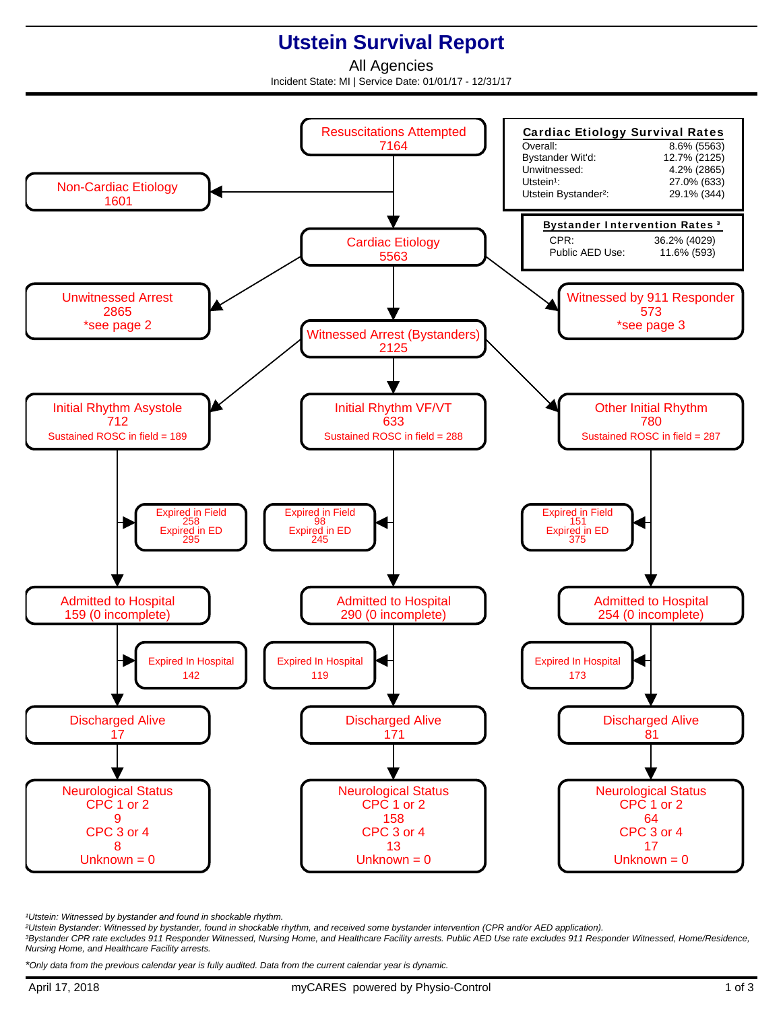## **Utstein Survival Report**

All Agencies Incident State: MI | Service Date: 01/01/17 - 12/31/17



<sup>1</sup>Utstein: Witnessed by bystander and found in shockable rhythm.

²Utstein Bystander: Witnessed by bystander, found in shockable rhythm, and received some bystander intervention (CPR and/or AED application).

³Bystander CPR rate excludes 911 Responder Witnessed, Nursing Home, and Healthcare Facility arrests. Public AED Use rate excludes 911 Responder Witnessed, Home/Residence, Nursing Home, and Healthcare Facility arrests.

\*Only data from the previous calendar year is fully audited. Data from the current calendar year is dynamic.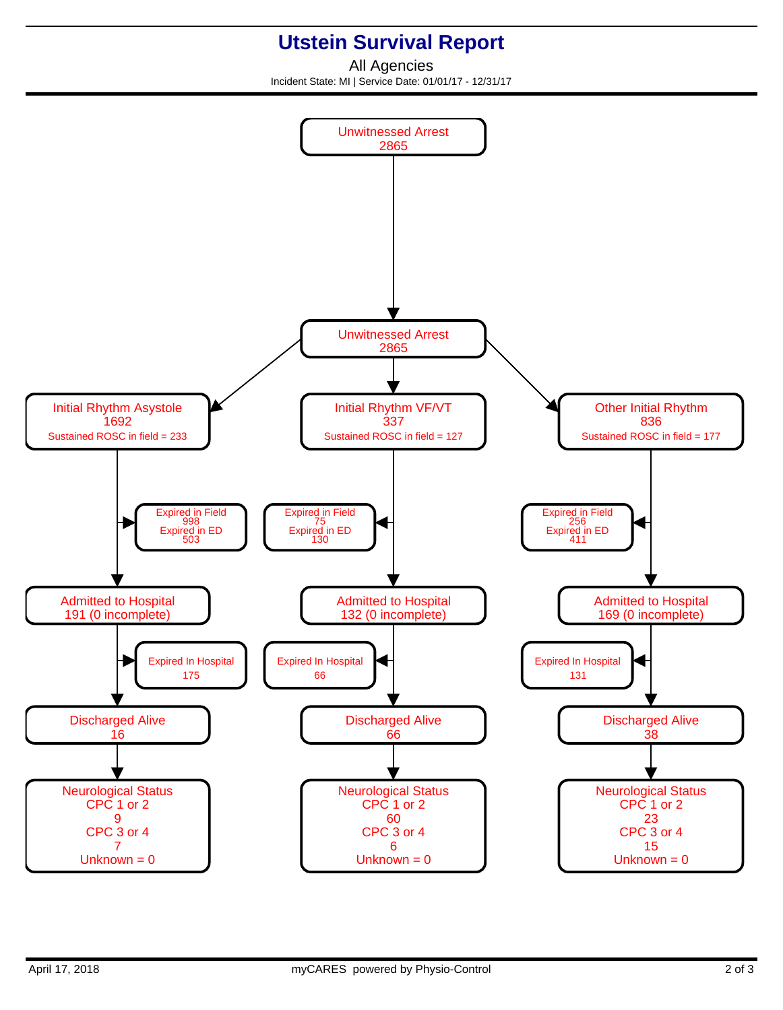## **Utstein Survival Report**

All Agencies Incident State: MI | Service Date: 01/01/17 - 12/31/17